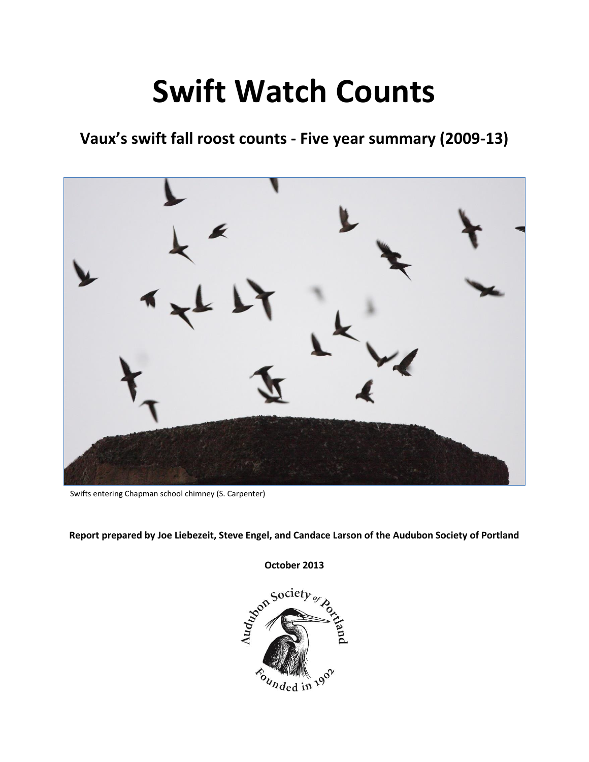# **Swift Watch Counts**

# **Vaux's swift fall roost counts - Five year summary (2009-13)**



Swifts entering Chapman school chimney (S. Carpenter)

**Report prepared by Joe Liebezeit, Steve Engel, and Candace Larson of the Audubon Society of Portland** 

October 2013  $\delta_{u_{nded}}$  in  $19^\circ$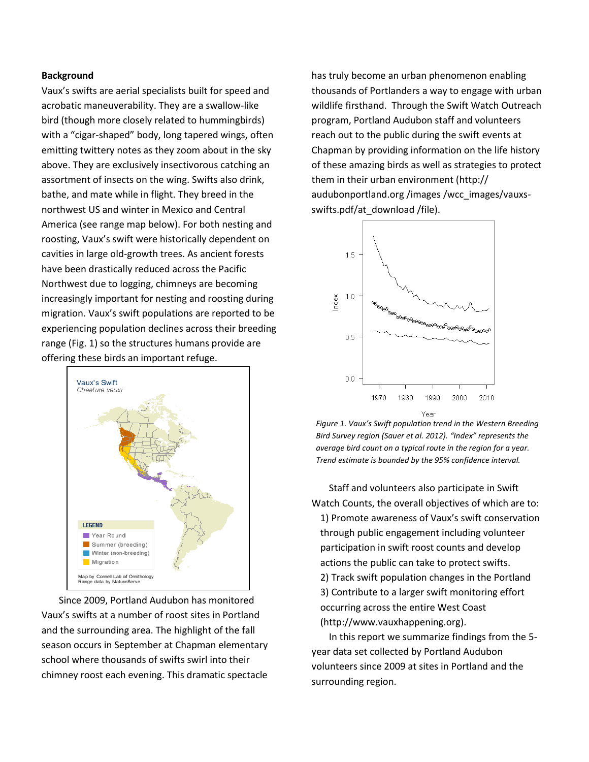### **Background**

Vaux's swifts are aerial specialists built for speed and acrobatic maneuverability. They are a swallow-like bird (though more closely related to hummingbirds) with a "cigar-shaped" body, long tapered wings, often emitting twittery notes as they zoom about in the sky above. They are exclusively insectivorous catching an assortment of insects on the wing. Swifts also drink, bathe, and mate while in flight. They breed in the northwest US and winter in Mexico and Central America (see range map below). For both nesting and roosting, Vaux's swift were historically dependent on cavities in large old-growth trees. As ancient forests have been drastically reduced across the Pacific Northwest due to logging, chimneys are becoming increasingly important for nesting and roosting during migration. Vaux's swift populations are reported to be experiencing population declines across their breeding range (Fig. 1) so the structures humans provide are offering these birds an important refuge.



Since 2009, Portland Audubon has monitored Vaux's swifts at a number of roost sites in Portland and the surrounding area. The highlight of the fall season occurs in September at Chapman elementary school where thousands of swifts swirl into their chimney roost each evening. This dramatic spectacle

has truly become an urban phenomenon enabling thousands of Portlanders a way to engage with urban wildlife firsthand. Through the Swift Watch Outreach program, Portland Audubon staff and volunteers reach out to the public during the swift events at Chapman by providing information on the life history of these amazing birds as well as strategies to protect them in their urban environment (http:// audubonportland.org /images /wcc\_images/vauxsswifts.pdf/at\_download /file).



*Figure 1. Vaux's Swift population trend in the Western Breeding Bird Survey region (Sauer et al. 2012). "Index" represents the average bird count on a typical route in the region for a year. Trend estimate is bounded by the 95% confidence interval.* 

Staff and volunteers also participate in Swift Watch Counts, the overall objectives of which are to: 1) Promote awareness of Vaux's swift conservation through public engagement including volunteer participation in swift roost counts and develop actions the public can take to protect swifts. 2) Track swift population changes in the Portland

3) Contribute to a larger swift monitoring effort occurring across the entire West Coast (http://www.vauxhappening.org).

In this report we summarize findings from the 5 year data set collected by Portland Audubon volunteers since 2009 at sites in Portland and the surrounding region.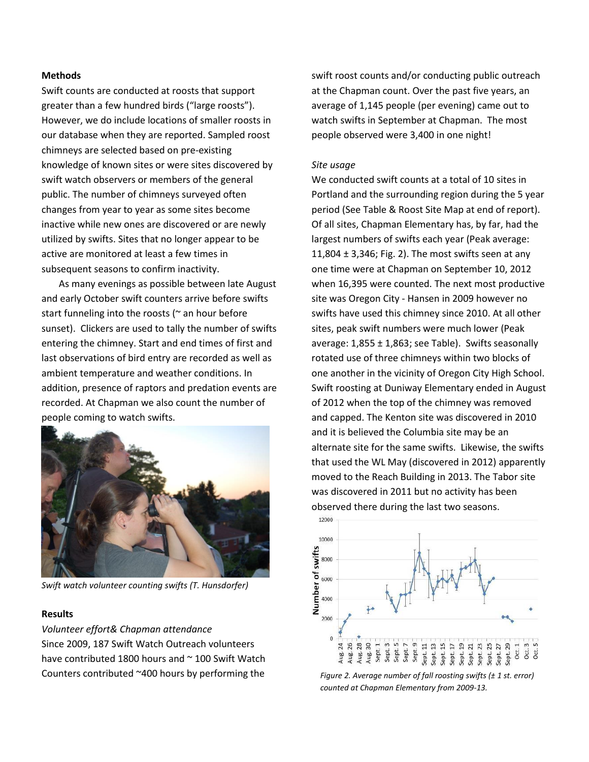### **Methods**

Swift counts are conducted at roosts that support greater than a few hundred birds ("large roosts"). However, we do include locations of smaller roosts in our database when they are reported. Sampled roost chimneys are selected based on pre-existing knowledge of known sites or were sites discovered by swift watch observers or members of the general public. The number of chimneys surveyed often changes from year to year as some sites become inactive while new ones are discovered or are newly utilized by swifts. Sites that no longer appear to be active are monitored at least a few times in subsequent seasons to confirm inactivity.

As many evenings as possible between late August and early October swift counters arrive before swifts start funneling into the roosts ( $\sim$  an hour before sunset). Clickers are used to tally the number of swifts entering the chimney. Start and end times of first and last observations of bird entry are recorded as well as ambient temperature and weather conditions. In addition, presence of raptors and predation events are recorded. At Chapman we also count the number of people coming to watch swifts.



*Swift watch volunteer counting swifts (T. Hunsdorfer)* 

#### **Results**

*Volunteer effort& Chapman attendance*  Since 2009, 187 Swift Watch Outreach volunteers have contributed 1800 hours and  $\sim$  100 Swift Watch Counters contributed ~400 hours by performing the

swift roost counts and/or conducting public outreach at the Chapman count. Over the past five years, an average of 1,145 people (per evening) came out to watch swifts in September at Chapman. The most people observed were 3,400 in one night!

#### *Site usage*

We conducted swift counts at a total of 10 sites in Portland and the surrounding region during the 5 year period (See Table & Roost Site Map at end of report). Of all sites, Chapman Elementary has, by far, had the largest numbers of swifts each year (Peak average: 11,804  $\pm$  3,346; Fig. 2). The most swifts seen at any one time were at Chapman on September 10, 2012 when 16,395 were counted. The next most productive site was Oregon City - Hansen in 2009 however no swifts have used this chimney since 2010. At all other sites, peak swift numbers were much lower (Peak average:  $1,855 \pm 1,863$ ; see Table). Swifts seasonally rotated use of three chimneys within two blocks of one another in the vicinity of Oregon City High School. Swift roosting at Duniway Elementary ended in August of 2012 when the top of the chimney was removed and capped. The Kenton site was discovered in 2010 and it is believed the Columbia site may be an alternate site for the same swifts. Likewise, the swifts that used the WL May (discovered in 2012) apparently moved to the Reach Building in 2013. The Tabor site was discovered in 2011 but no activity has been observed there during the last two seasons.



*Figure 2. Average number of fall roosting swifts (± 1 st. error) counted at Chapman Elementary from 2009-13.*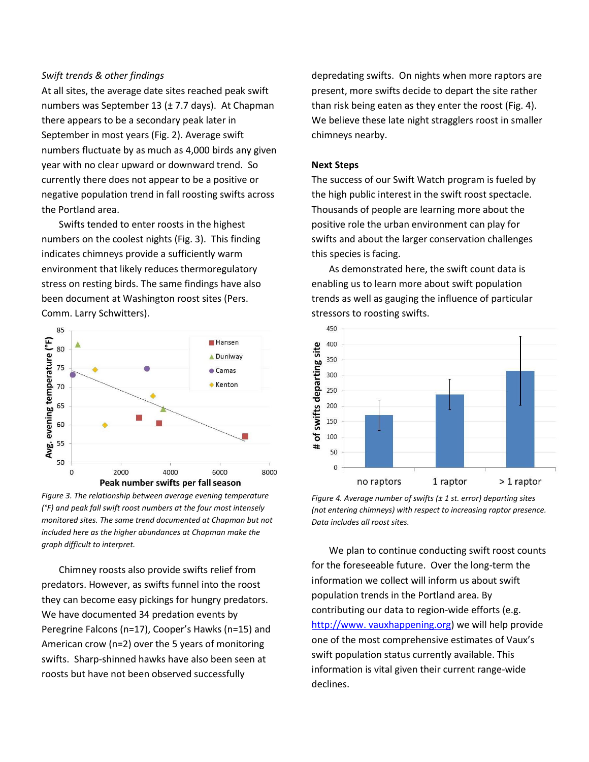#### *Swift trends & other findings*

At all sites, the average date sites reached peak swift numbers was September 13 (± 7.7 days). At Chapman there appears to be a secondary peak later in September in most years (Fig. 2). Average swift numbers fluctuate by as much as 4,000 birds any given year with no clear upward or downward trend. So currently there does not appear to be a positive or negative population trend in fall roosting swifts across the Portland area.

Swifts tended to enter roosts in the highest numbers on the coolest nights (Fig. 3). This finding indicates chimneys provide a sufficiently warm environment that likely reduces thermoregulatory stress on resting birds. The same findings have also been document at Washington roost sites (Pers. Comm. Larry Schwitters).



*Figure 3. The relationship between average evening temperature (°F) and peak fall swift roost numbers at the four most intensely monitored sites. The same trend documented at Chapman but not included here as the higher abundances at Chapman make the graph difficult to interpret.* 

Chimney roosts also provide swifts relief from predators. However, as swifts funnel into the roost they can become easy pickings for hungry predators. We have documented 34 predation events by Peregrine Falcons (n=17), Cooper's Hawks (n=15) and American crow (n=2) over the 5 years of monitoring swifts. Sharp-shinned hawks have also been seen at roosts but have not been observed successfully

depredating swifts. On nights when more raptors are present, more swifts decide to depart the site rather than risk being eaten as they enter the roost (Fig. 4). We believe these late night stragglers roost in smaller chimneys nearby.

#### **Next Steps**

The success of our Swift Watch program is fueled by the high public interest in the swift roost spectacle. Thousands of people are learning more about the positive role the urban environment can play for swifts and about the larger conservation challenges this species is facing.

As demonstrated here, the swift count data is enabling us to learn more about swift population trends as well as gauging the influence of particular stressors to roosting swifts.



*Figure 4. Average number of swifts (± 1 st. error) departing sites (not entering chimneys) with respect to increasing raptor presence. Data includes all roost sites.*

We plan to continue conducting swift roost counts for the foreseeable future. Over the long-term the information we collect will inform us about swift population trends in the Portland area. By contributing our data to region-wide efforts (e.g. http://www. vauxhappening.org) we will help provide one of the most comprehensive estimates of Vaux's swift population status currently available. This information is vital given their current range-wide declines.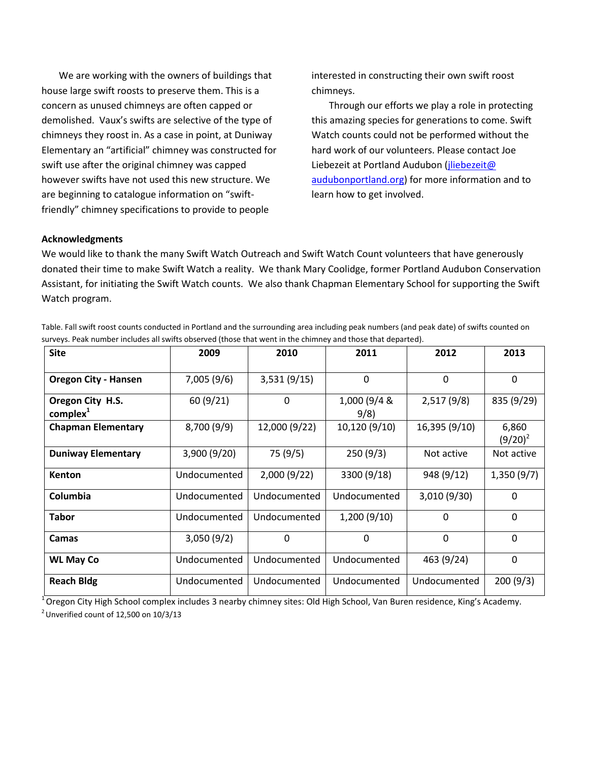We are working with the owners of buildings that house large swift roosts to preserve them. This is a concern as unused chimneys are often capped or demolished. Vaux's swifts are selective of the type of chimneys they roost in. As a case in point, at Duniway Elementary an "artificial" chimney was constructed for swift use after the original chimney was capped however swifts have not used this new structure. We are beginning to catalogue information on "swiftfriendly" chimney specifications to provide to people

interested in constructing their own swift roost chimneys.

Through our efforts we play a role in protecting this amazing species for generations to come. Swift Watch counts could not be performed without the hard work of our volunteers. Please contact Joe Liebezeit at Portland Audubon (jliebezeit@ [audubonportland.org\)](mailto:jliebezeit@audubonportland.org) for more information and to learn how to get involved.

## **Acknowledgments**

We would like to thank the many Swift Watch Outreach and Swift Watch Count volunteers that have generously donated their time to make Swift Watch a reality. We thank Mary Coolidge, former Portland Audubon Conservation Assistant, for initiating the Swift Watch counts. We also thank Chapman Elementary School for supporting the Swift Watch program.

| Table. Fall swift roost counts conducted in Portland and the surrounding area including peak numbers (and peak date) of swifts counted on |
|-------------------------------------------------------------------------------------------------------------------------------------------|
| surveys. Peak number includes all swifts observed (those that went in the chimney and those that departed).                               |

| <b>Site</b>                              | 2009         | 2010          | 2011                 | 2012          | 2013                |
|------------------------------------------|--------------|---------------|----------------------|---------------|---------------------|
| <b>Oregon City - Hansen</b>              | 7,005(9/6)   | 3,531(9/15)   | $\mathbf 0$          | $\mathbf 0$   | $\mathbf 0$         |
| Oregon City H.S.<br>complex <sup>1</sup> | 60(9/21)     | 0             | 1,000 (9/4 &<br>9/8) | 2,517(9/8)    | 835 (9/29)          |
| <b>Chapman Elementary</b>                | 8,700 (9/9)  | 12,000 (9/22) | 10,120 (9/10)        | 16,395 (9/10) | 6,860<br>$(9/20)^2$ |
| <b>Duniway Elementary</b>                | 3,900(9/20)  | 75 (9/5)      | 250(9/3)             | Not active    | Not active          |
| <b>Kenton</b>                            | Undocumented | 2,000(9/22)   | 3300 (9/18)          | 948 (9/12)    | 1,350(9/7)          |
| Columbia                                 | Undocumented | Undocumented  | Undocumented         | 3,010 (9/30)  | 0                   |
| <b>Tabor</b>                             | Undocumented | Undocumented  | 1,200(9/10)          | $\mathbf{0}$  | $\Omega$            |
| Camas                                    | 3,050(9/2)   | 0             | 0                    | $\mathbf{0}$  | 0                   |
| <b>WL May Co</b>                         | Undocumented | Undocumented  | Undocumented         | 463 (9/24)    | $\Omega$            |
| <b>Reach Bldg</b>                        | Undocumented | Undocumented  | Undocumented         | Undocumented  | 200(9/3)            |

<sup>1</sup> Oregon City High School complex includes 3 nearby chimney sites: Old High School, Van Buren residence, King's Academy.  $2$  Unverified count of 12,500 on 10/3/13